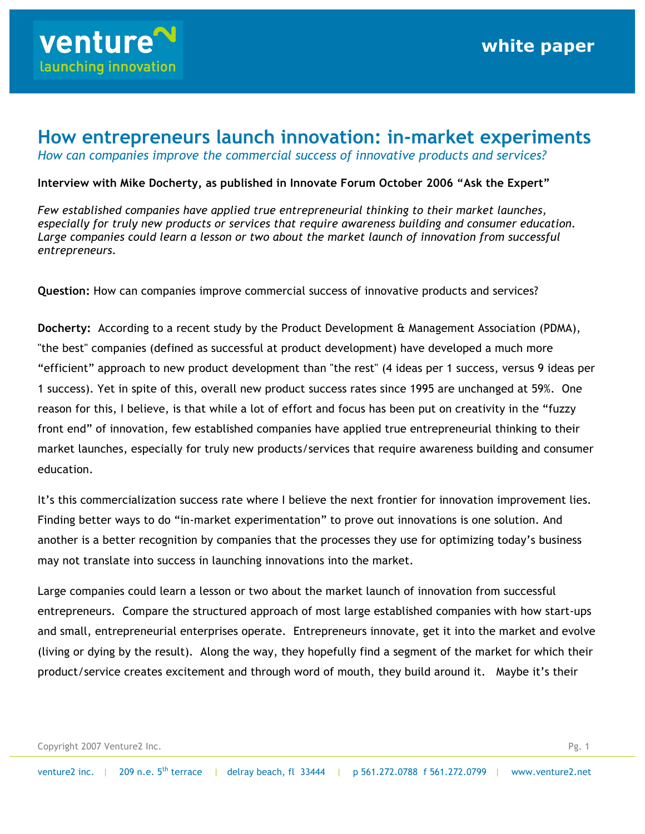

## **How entrepreneurs launch innovation: in-market experiments**

*How can companies improve the commercial success of innovative products and services?*

## **Interview with Mike Docherty, as published in Innovate Forum October 2006 "Ask the Expert"**

*Few established companies have applied true entrepreneurial thinking to their market launches, especially for truly new products or services that require awareness building and consumer education. Large companies could learn a lesson or two about the market launch of innovation from successful entrepreneurs.* 

**Question:** How can companies improve commercial success of innovative products and services?

**Docherty:** According to a recent study by the Product Development & Management Association (PDMA), "the best" companies (defined as successful at product development) have developed a much more "efficient" approach to new product development than "the rest" (4 ideas per 1 success, versus 9 ideas per 1 success). Yet in spite of this, overall new product success rates since 1995 are unchanged at 59%. One reason for this, I believe, is that while a lot of effort and focus has been put on creativity in the "fuzzy front end" of innovation, few established companies have applied true entrepreneurial thinking to their market launches, especially for truly new products/services that require awareness building and consumer education.

It's this commercialization success rate where I believe the next frontier for innovation improvement lies. Finding better ways to do "in-market experimentation" to prove out innovations is one solution. And another is a better recognition by companies that the processes they use for optimizing today's business may not translate into success in launching innovations into the market.

Large companies could learn a lesson or two about the market launch of innovation from successful entrepreneurs. Compare the structured approach of most large established companies with how start-ups and small, entrepreneurial enterprises operate. Entrepreneurs innovate, get it into the market and evolve (living or dying by the result). Along the way, they hopefully find a segment of the market for which their product/service creates excitement and through word of mouth, they build around it. Maybe it's their

Copyright 2007 Venture2 Inc. Pg. 1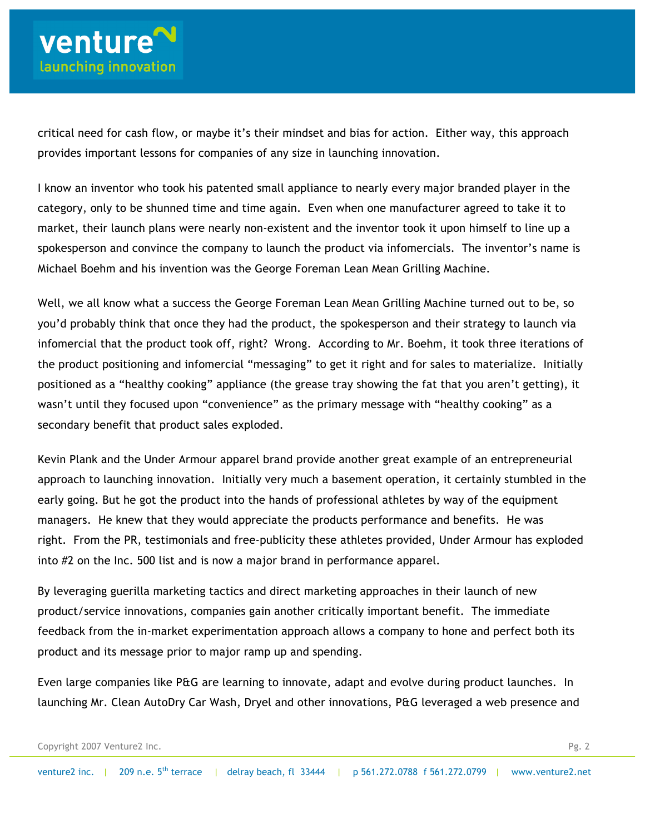critical need for cash flow, or maybe it's their mindset and bias for action. Either way, this approach provides important lessons for companies of any size in launching innovation.

I know an inventor who took his patented small appliance to nearly every major branded player in the category, only to be shunned time and time again. Even when one manufacturer agreed to take it to market, their launch plans were nearly non-existent and the inventor took it upon himself to line up a spokesperson and convince the company to launch the product via infomercials. The inventor's name is Michael Boehm and his invention was the George Foreman Lean Mean Grilling Machine.

Well, we all know what a success the George Foreman Lean Mean Grilling Machine turned out to be, so you'd probably think that once they had the product, the spokesperson and their strategy to launch via infomercial that the product took off, right? Wrong. According to Mr. Boehm, it took three iterations of the product positioning and infomercial "messaging" to get it right and for sales to materialize. Initially positioned as a "healthy cooking" appliance (the grease tray showing the fat that you aren't getting), it wasn't until they focused upon "convenience" as the primary message with "healthy cooking" as a secondary benefit that product sales exploded.

Kevin Plank and the Under Armour apparel brand provide another great example of an entrepreneurial approach to launching innovation. Initially very much a basement operation, it certainly stumbled in the early going. But he got the product into the hands of professional athletes by way of the equipment managers. He knew that they would appreciate the products performance and benefits. He was right. From the PR, testimonials and free-publicity these athletes provided, Under Armour has exploded into #2 on the Inc. 500 list and is now a major brand in performance apparel.

By leveraging guerilla marketing tactics and direct marketing approaches in their launch of new product/service innovations, companies gain another critically important benefit. The immediate feedback from the in-market experimentation approach allows a company to hone and perfect both its product and its message prior to major ramp up and spending.

Even large companies like P&G are learning to innovate, adapt and evolve during product launches. In launching Mr. Clean AutoDry Car Wash, Dryel and other innovations, P&G leveraged a web presence and

```
Copyright 2007 Venture2 Inc. Pg. 2
```